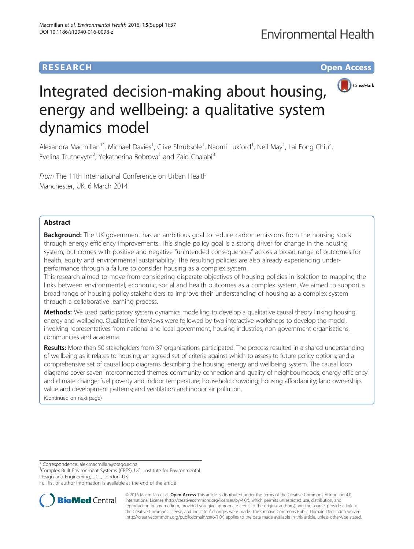# **RESEARCH RESEARCH** *CHECK CHECK CHECK CHECK CHECK CHECK CHECK CHECK CHECK CHECK CHECK CHECK CHECK CHECK CHECK CHECK CHECK CHECK CHECK CHECK CHECK CHECK CHECK CHECK CHECK CHECK CHECK CHECK CHECK CHECK CHECK CHECK CHECK*



# Integrated decision-making about housing, energy and wellbeing: a qualitative system dynamics model

Alexandra Macmillan<sup>1\*</sup>, Michael Davies<sup>1</sup>, Clive Shrubsole<sup>1</sup>, Naomi Luxford<sup>1</sup>, Neil May<sup>1</sup>, Lai Fong Chiu<sup>2</sup> , Evelina Trutnevyte<sup>2</sup>, Yekatherina Bobrova<sup>1</sup> and Zaid Chalabi<sup>3</sup>

From The 11th International Conference on Urban Health Manchester, UK. 6 March 2014

## Abstract

Background: The UK government has an ambitious goal to reduce carbon emissions from the housing stock through energy efficiency improvements. This single policy goal is a strong driver for change in the housing system, but comes with positive and negative "unintended consequences" across a broad range of outcomes for health, equity and environmental sustainability. The resulting policies are also already experiencing underperformance through a failure to consider housing as a complex system.

This research aimed to move from considering disparate objectives of housing policies in isolation to mapping the links between environmental, economic, social and health outcomes as a complex system. We aimed to support a broad range of housing policy stakeholders to improve their understanding of housing as a complex system through a collaborative learning process.

Methods: We used participatory system dynamics modelling to develop a qualitative causal theory linking housing, energy and wellbeing. Qualitative interviews were followed by two interactive workshops to develop the model, involving representatives from national and local government, housing industries, non-government organisations, communities and academia.

Results: More than 50 stakeholders from 37 organisations participated. The process resulted in a shared understanding of wellbeing as it relates to housing; an agreed set of criteria against which to assess to future policy options; and a comprehensive set of causal loop diagrams describing the housing, energy and wellbeing system. The causal loop diagrams cover seven interconnected themes: community connection and quality of neighbourhoods; energy efficiency and climate change; fuel poverty and indoor temperature; household crowding; housing affordability; land ownership, value and development patterns; and ventilation and indoor air pollution. (Continued on next page)

\* Correspondence: [alex.macmillan@otago.ac.nz](mailto:alex.macmillan@otago.ac.nz) <sup>1</sup>

<sup>1</sup>Complex Built Environment Systems (CBES), UCL Institute for Environmental Design and Engineering, UCL, London, UK

Full list of author information is available at the end of the article



© 2016 Macmillan et al. Open Access This article is distributed under the terms of the Creative Commons Attribution 4.0 International License [\(http://creativecommons.org/licenses/by/4.0/](http://creativecommons.org/licenses/by/4.0/)), which permits unrestricted use, distribution, and reproduction in any medium, provided you give appropriate credit to the original author(s) and the source, provide a link to the Creative Commons license, and indicate if changes were made. The Creative Commons Public Domain Dedication waiver [\(http://creativecommons.org/publicdomain/zero/1.0/](http://creativecommons.org/publicdomain/zero/1.0/)) applies to the data made available in this article, unless otherwise stated.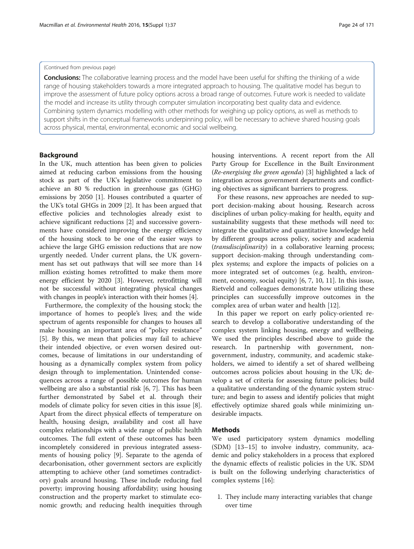#### (Continued from previous page)

Conclusions: The collaborative learning process and the model have been useful for shifting the thinking of a wide range of housing stakeholders towards a more integrated approach to housing. The qualitative model has begun to improve the assessment of future policy options across a broad range of outcomes. Future work is needed to validate the model and increase its utility through computer simulation incorporating best quality data and evidence. Combining system dynamics modelling with other methods for weighing up policy options, as well as methods to support shifts in the conceptual frameworks underpinning policy, will be necessary to achieve shared housing goals across physical, mental, environmental, economic and social wellbeing.

## Background

In the UK, much attention has been given to policies aimed at reducing carbon emissions from the housing stock as part of the UK's legislative commitment to achieve an 80 % reduction in greenhouse gas (GHG) emissions by 2050 [[1](#page-10-0)]. Houses contributed a quarter of the UK's total GHGs in 2009 [[2\]](#page-10-0). It has been argued that effective policies and technologies already exist to achieve significant reductions [[2\]](#page-10-0) and successive governments have considered improving the energy efficiency of the housing stock to be one of the easier ways to achieve the large GHG emission reductions that are now urgently needed. Under current plans, the UK government has set out pathways that will see more than 14 million existing homes retrofitted to make them more energy efficient by 2020 [\[3](#page-11-0)]. However, retrofitting will not be successful without integrating physical changes with changes in people's interaction with their homes [\[4](#page-11-0)].

Furthermore, the complexity of the housing stock; the importance of homes to people's lives; and the wide spectrum of agents responsible for changes to houses all make housing an important area of "policy resistance" [[5\]](#page-11-0). By this, we mean that policies may fail to achieve their intended objective, or even worsen desired outcomes, because of limitations in our understanding of housing as a dynamically complex system from policy design through to implementation. Unintended consequences across a range of possible outcomes for human wellbeing are also a substantial risk [\[6](#page-11-0), [7](#page-11-0)]. This has been further demonstrated by Sabel et al. through their models of climate policy for seven cities in this issue [\[8](#page-11-0)]. Apart from the direct physical effects of temperature on health, housing design, availability and cost all have complex relationships with a wide range of public health outcomes. The full extent of these outcomes has been incompletely considered in previous integrated assessments of housing policy [[9\]](#page-11-0). Separate to the agenda of decarbonisation, other government sectors are explicitly attempting to achieve other (and sometimes contradictory) goals around housing. These include reducing fuel poverty; improving housing affordability; using housing construction and the property market to stimulate economic growth; and reducing health inequities through

housing interventions. A recent report from the All Party Group for Excellence in the Built Environment (Re-energising the green agenda) [\[3](#page-11-0)] highlighted a lack of integration across government departments and conflicting objectives as significant barriers to progress.

For these reasons, new approaches are needed to support decision-making about housing. Research across disciplines of urban policy-making for health, equity and sustainability suggests that these methods will need to: integrate the qualitative and quantitative knowledge held by different groups across policy, society and academia (transdisciplinarity) in a collaborative learning process; support decision-making through understanding complex systems; and explore the impacts of policies on a more integrated set of outcomes (e.g. health, environment, economy, social equity) [[6, 7, 10, 11\]](#page-11-0). In this issue, Rietveld and colleagues demonstrate how utilizing these principles can successfully improve outcomes in the complex area of urban water and health [[12](#page-11-0)].

In this paper we report on early policy-oriented research to develop a collaborative understanding of the complex system linking housing, energy and wellbeing. We used the principles described above to guide the research. In partnership with government, nongovernment, industry, community, and academic stakeholders, we aimed to identify a set of shared wellbeing outcomes across policies about housing in the UK; develop a set of criteria for assessing future policies; build a qualitative understanding of the dynamic system structure; and begin to assess and identify policies that might effectively optimize shared goals while minimizing undesirable impacts.

#### Methods

We used participatory system dynamics modelling (SDM) [\[13](#page-11-0)–[15](#page-11-0)] to involve industry, community, academic and policy stakeholders in a process that explored the dynamic effects of realistic policies in the UK. SDM is built on the following underlying characteristics of complex systems [\[16\]](#page-11-0):

1. They include many interacting variables that change over time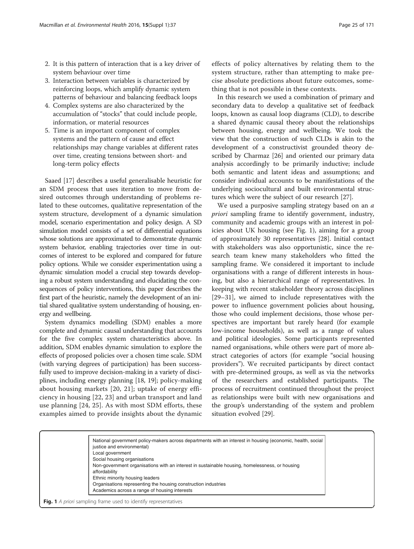- 2. It is this pattern of interaction that is a key driver of system behaviour over time
- 3. Interaction between variables is characterized by reinforcing loops, which amplify dynamic system patterns of behaviour and balancing feedback loops
- 4. Complex systems are also characterized by the accumulation of "stocks" that could include people, information, or material resources
- 5. Time is an important component of complex systems and the pattern of cause and effect relationships may change variables at different rates over time, creating tensions between short- and long-term policy effects

Saaed [\[17](#page-11-0)] describes a useful generalisable heuristic for an SDM process that uses iteration to move from desired outcomes through understanding of problems related to these outcomes, qualitative representation of the system structure, development of a dynamic simulation model, scenario experimentation and policy design. A SD simulation model consists of a set of differential equations whose solutions are approximated to demonstrate dynamic system behavior, enabling trajectories over time in outcomes of interest to be explored and compared for future policy options. While we consider experimentation using a dynamic simulation model a crucial step towards developing a robust system understanding and elucidating the consequences of policy interventions, this paper describes the first part of the heuristic, namely the development of an initial shared qualitative system understanding of housing, energy and wellbeing.

System dynamics modelling (SDM) enables a more complete and dynamic causal understanding that accounts for the five complex system characteristics above. In addition, SDM enables dynamic simulation to explore the effects of proposed policies over a chosen time scale. SDM (with varying degrees of participation) has been successfully used to improve decision-making in a variety of disciplines, including energy planning [[18](#page-11-0), [19](#page-11-0)]; policy-making about housing markets [[20](#page-11-0), [21\]](#page-11-0); uptake of energy efficiency in housing [[22](#page-11-0), [23](#page-11-0)] and urban transport and land use planning [[24](#page-11-0), [25\]](#page-11-0). As with most SDM efforts, these examples aimed to provide insights about the dynamic effects of policy alternatives by relating them to the system structure, rather than attempting to make precise absolute predictions about future outcomes, something that is not possible in these contexts.

In this research we used a combination of primary and secondary data to develop a qualitative set of feedback loops, known as causal loop diagrams (CLD), to describe a shared dynamic causal theory about the relationships between housing, energy and wellbeing. We took the view that the construction of such CLDs is akin to the development of a constructivist grounded theory described by Charmaz [[26](#page-11-0)] and oriented our primary data analysis accordingly to be primarily inductive; include both semantic and latent ideas and assumptions; and consider individual accounts to be manifestations of the underlying sociocultural and built environmental structures which were the subject of our research [\[27](#page-11-0)].

We used a purposive sampling strategy based on an  $a$ priori sampling frame to identify government, industry, community and academic groups with an interest in policies about UK housing (see Fig. 1), aiming for a group of approximately 30 representatives [\[28\]](#page-11-0). Initial contact with stakeholders was also opportunistic, since the research team knew many stakeholders who fitted the sampling frame. We considered it important to include organisations with a range of different interests in housing, but also a hierarchical range of representatives. In keeping with recent stakeholder theory across disciplines [[29](#page-11-0)–[31](#page-11-0)], we aimed to include representatives with the power to influence government policies about housing, those who could implement decisions, those whose perspectives are important but rarely heard (for example low-income households), as well as a range of values and political ideologies. Some participants represented named organisations, while others were part of more abstract categories of actors (for example "social housing providers"). We recruited participants by direct contact with pre-determined groups, as well as via the networks of the researchers and established participants. The process of recruitment continued throughout the project as relationships were built with new organisations and the group's understanding of the system and problem situation evolved [\[29\]](#page-11-0).

| National government policy-makers across departments with an interest in housing (economic, health, social<br>justice and environmental) |
|------------------------------------------------------------------------------------------------------------------------------------------|
| Local government                                                                                                                         |
| Social housing organisations                                                                                                             |
| Non-government organisations with an interest in sustainable housing, homelessness, or housing                                           |
| affordability                                                                                                                            |
| Ethnic minority housing leaders                                                                                                          |
| Organisations representing the housing construction industries                                                                           |
| Academics across a range of housing interests                                                                                            |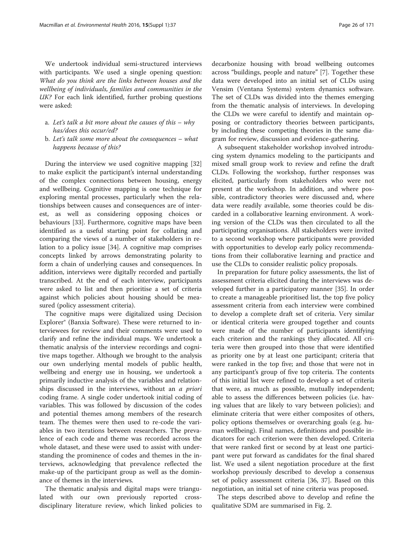We undertook individual semi-structured interviews with participants. We used a single opening question: What do you think are the links between houses and the wellbeing of individuals, families and communities in the UK? For each link identified, further probing questions were asked:

- a. Let's talk a bit more about the causes of this why has/does this occur/ed?
- b. Let's talk some more about the consequences what happens because of this?

During the interview we used cognitive mapping [[32](#page-11-0)] to make explicit the participant's internal understanding of the complex connections between housing, energy and wellbeing. Cognitive mapping is one technique for exploring mental processes, particularly when the relationships between causes and consequences are of interest, as well as considering opposing choices or behaviours [\[33](#page-11-0)]. Furthermore, cognitive maps have been identified as a useful starting point for collating and comparing the views of a number of stakeholders in relation to a policy issue [\[34\]](#page-11-0). A cognitive map comprises concepts linked by arrows demonstrating polarity to form a chain of underlying causes and consequences. In addition, interviews were digitally recorded and partially transcribed. At the end of each interview, participants were asked to list and then prioritise a set of criteria against which policies about housing should be measured (policy assessment criteria).

The cognitive maps were digitalized using Decision Explorer® (Banxia Software). These were returned to interviewees for review and their comments were used to clarify and refine the individual maps. We undertook a thematic analysis of the interview recordings and cognitive maps together. Although we brought to the analysis our own underlying mental models of public health, wellbeing and energy use in housing, we undertook a primarily inductive analysis of the variables and relationships discussed in the interviews, without an a priori coding frame. A single coder undertook initial coding of variables. This was followed by discussion of the codes and potential themes among members of the research team. The themes were then used to re-code the variables in two iterations between researchers. The prevalence of each code and theme was recorded across the whole dataset, and these were used to assist with understanding the prominence of codes and themes in the interviews, acknowledging that prevalence reflected the make-up of the participant group as well as the dominance of themes in the interviews.

The thematic analysis and digital maps were triangulated with our own previously reported crossdisciplinary literature review, which linked policies to decarbonize housing with broad wellbeing outcomes across "buildings, people and nature" [[7\]](#page-11-0). Together these data were developed into an initial set of CLDs using Vensim (Ventana Systems) system dynamics software. The set of CLDs was divided into the themes emerging from the thematic analysis of interviews. In developing the CLDs we were careful to identify and maintain opposing or contradictory theories between participants, by including these competing theories in the same diagram for review, discussion and evidence-gathering.

A subsequent stakeholder workshop involved introducing system dynamics modeling to the participants and mixed small group work to review and refine the draft CLDs. Following the workshop, further responses was elicited, particularly from stakeholders who were not present at the workshop. In addition, and where possible, contradictory theories were discussed and, where data were readily available, some theories could be discarded in a collaborative learning environment. A working version of the CLDs was then circulated to all the participating organisations. All stakeholders were invited to a second workshop where participants were provided with opportunities to develop early policy recommendations from their collaborative learning and practice and use the CLDs to consider realistic policy proposals.

In preparation for future policy assessments, the list of assessment criteria elicited during the interviews was developed further in a participatory manner [\[35](#page-11-0)]. In order to create a manageable prioritised list, the top five policy assessment criteria from each interview were combined to develop a complete draft set of criteria. Very similar or identical criteria were grouped together and counts were made of the number of participants identifying each criterion and the rankings they allocated. All criteria were then grouped into those that were identified as priority one by at least one participant; criteria that were ranked in the top five; and those that were not in any participant's group of five top criteria. The contents of this initial list were refined to develop a set of criteria that were, as much as possible, mutually independent; able to assess the differences between policies (i.e. having values that are likely to vary between policies); and eliminate criteria that were either composites of others, policy options themselves or overarching goals (e.g. human wellbeing). Final names, definitions and possible indicators for each criterion were then developed. Criteria that were ranked first or second by at least one participant were put forward as candidates for the final shared list. We used a silent negotiation procedure at the first workshop previously described to develop a consensus set of policy assessment criteria [[36, 37\]](#page-11-0). Based on this negotiation, an initial set of nine criteria was proposed.

The steps described above to develop and refine the qualitative SDM are summarised in Fig. [2](#page-4-0).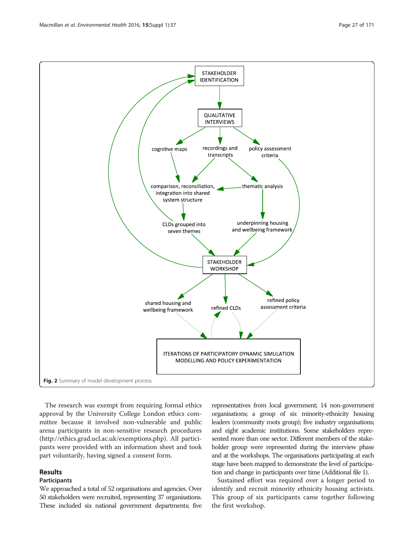The research was exempt from requiring formal ethics approval by the University College London ethics committee because it involved non-vulnerable and public arena participants in non-sensitive research procedures (<http://ethics.grad.ucl.ac.uk/exemptions.php>). All participants were provided with an information sheet and took part voluntarily, having signed a consent form.

## Results

#### Participants

We approached a total of 52 organisations and agencies. Over 50 stakeholders were recruited, representing 37 organisations. These included six national government departments; five

representatives from local government; 14 non-government organisations; a group of six minority-ethnicity housing leaders (community roots group); five industry organisations; and eight academic institutions. Some stakeholders represented more than one sector. Different members of the stakeholder group were represented during the interview phase and at the workshops. The organisations participating at each stage have been mapped to demonstrate the level of participation and change in participants over time (Additional file [1](#page-10-0)).

Sustained effort was required over a longer period to identify and recruit minority ethnicity housing activists. This group of six participants came together following the first workshop.

<span id="page-4-0"></span>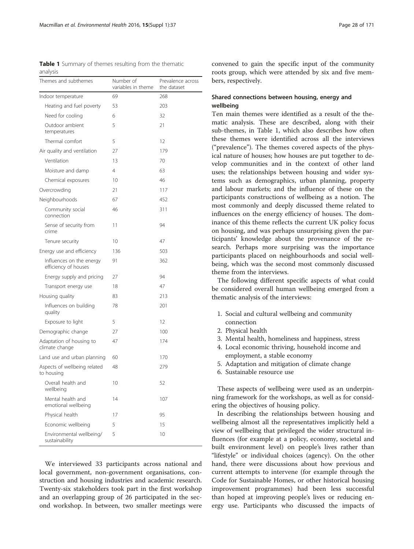|          | Table 1 Summary of themes resulting from the thematic |  |  |  |
|----------|-------------------------------------------------------|--|--|--|
| analysis |                                                       |  |  |  |

| Themes and subthemes                             | Number of<br>variables in theme | Prevalence across<br>the dataset |
|--------------------------------------------------|---------------------------------|----------------------------------|
| Indoor temperature                               | 69                              | 268                              |
| Heating and fuel poverty                         | 53                              | 203                              |
| Need for cooling                                 | 6                               | 32                               |
| Outdoor ambient<br>temperatures                  | 5                               | 21                               |
| Thermal comfort                                  | 5                               | 12                               |
| Air quality and ventilation                      | 27                              | 179                              |
| Ventilation                                      | 13                              | 70                               |
| Moisture and damp                                | 4                               | 63                               |
| Chemical exposures                               | 10                              | 46                               |
| Overcrowding                                     | 21                              | 117                              |
| Neighbourhoods                                   | 67                              | 452                              |
| Community social<br>connection                   | 46                              | 311                              |
| Sense of security from<br>crime                  | 11                              | 94                               |
| Tenure security                                  | 10                              | 47                               |
| Energy use and efficiency                        | 136                             | 503                              |
| Influences on the energy<br>efficiency of houses | 91                              | 362                              |
| Energy supply and pricing                        | 27                              | 94                               |
| Transport energy use                             | 18                              | 47                               |
| Housing quality                                  | 83                              | 213                              |
| Influences on building<br>quality                | 78                              | 201                              |
| Exposure to light                                | 5                               | 12                               |
| Demographic change                               | 27                              | 100                              |
| Adaptation of housing to<br>climate change       | 47                              | 174                              |
| Land use and urban planning                      | 60                              | 170                              |
| Aspects of wellbeing related<br>to housing       | 48                              | 279                              |
| Overall health and<br>wellbeing                  | 10                              | 52                               |
| Mental health and<br>emotional wellbeing         | 14                              | 107                              |
| Physical health                                  | 17                              | 95                               |
| Economic wellbeing                               | 5                               | 15                               |
| Environmental wellbeing/<br>sustainability       | 5                               | 10                               |

We interviewed 33 participants across national and local government, non-government organisations, construction and housing industries and academic research. Twenty-six stakeholders took part in the first workshop and an overlapping group of 26 participated in the second workshop. In between, two smaller meetings were convened to gain the specific input of the community roots group, which were attended by six and five members, respectively.

## Shared connections between housing, energy and wellbeing

Ten main themes were identified as a result of the thematic analysis. These are described, along with their sub-themes, in Table 1, which also describes how often these themes were identified across all the interviews ("prevalence"). The themes covered aspects of the physical nature of houses; how houses are put together to develop communities and in the context of other land uses; the relationships between housing and wider systems such as demographics, urban planning, property and labour markets; and the influence of these on the participants constructions of wellbeing as a notion. The most commonly and deeply discussed theme related to influences on the energy efficiency of houses. The dominance of this theme reflects the current UK policy focus on housing, and was perhaps unsurprising given the participants' knowledge about the provenance of the research. Perhaps more surprising was the importance participants placed on neighbourhoods and social wellbeing, which was the second most commonly discussed theme from the interviews.

The following different specific aspects of what could be considered overall human wellbeing emerged from a thematic analysis of the interviews:

- 1. Social and cultural wellbeing and community connection
- 2. Physical health
- 3. Mental health, homeliness and happiness, stress
- 4. Local economic thriving, household income and employment, a stable economy
- 5. Adaptation and mitigation of climate change
- 6. Sustainable resource use

These aspects of wellbeing were used as an underpinning framework for the workshops, as well as for considering the objectives of housing policy.

In describing the relationships between housing and wellbeing almost all the representatives implicitly held a view of wellbeing that privileged the wider structural influences (for example at a policy, economy, societal and built environment level) on people's lives rather than "lifestyle" or individual choices (agency). On the other hand, there were discussions about how previous and current attempts to intervene (for example through the Code for Sustainable Homes, or other historical housing improvement programmes) had been less successful than hoped at improving people's lives or reducing energy use. Participants who discussed the impacts of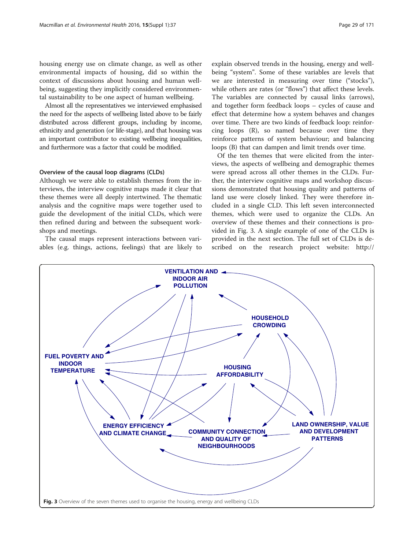housing energy use on climate change, as well as other environmental impacts of housing, did so within the context of discussions about housing and human wellbeing, suggesting they implicitly considered environmental sustainability to be one aspect of human wellbeing.

Almost all the representatives we interviewed emphasised the need for the aspects of wellbeing listed above to be fairly distributed across different groups, including by income, ethnicity and generation (or life-stage), and that housing was an important contributor to existing wellbeing inequalities, and furthermore was a factor that could be modified.

#### Overview of the causal loop diagrams (CLDs)

Although we were able to establish themes from the interviews, the interview cognitive maps made it clear that these themes were all deeply intertwined. The thematic analysis and the cognitive maps were together used to guide the development of the initial CLDs, which were then refined during and between the subsequent workshops and meetings.

The causal maps represent interactions between variables (e.g. things, actions, feelings) that are likely to

explain observed trends in the housing, energy and wellbeing "system". Some of these variables are levels that we are interested in measuring over time ("stocks"), while others are rates (or "flows") that affect these levels. The variables are connected by causal links (arrows), and together form feedback loops – cycles of cause and effect that determine how a system behaves and changes over time. There are two kinds of feedback loop: reinforcing loops (R), so named because over time they reinforce patterns of system behaviour; and balancing loops (B) that can dampen and limit trends over time.

Of the ten themes that were elicited from the interviews, the aspects of wellbeing and demographic themes were spread across all other themes in the CLDs. Further, the interview cognitive maps and workshop discussions demonstrated that housing quality and patterns of land use were closely linked. They were therefore included in a single CLD. This left seven interconnected themes, which were used to organize the CLDs. An overview of these themes and their connections is provided in Fig. 3. A single example of one of the CLDs is provided in the next section. The full set of CLDs is described on the research project website: [http://](http://www.bartlett.ucl.ac.uk/iede/research/project-directory/projects/housing-energy-wellbeing)

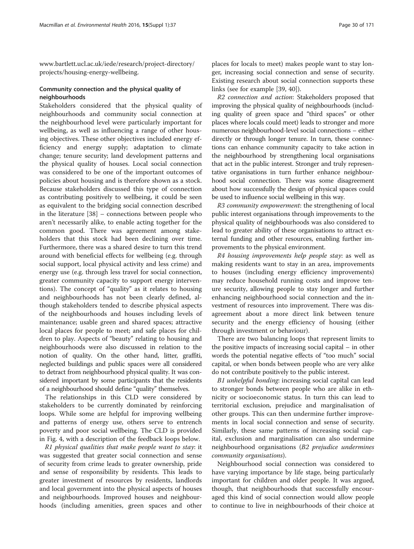[www.bartlett.ucl.ac.uk/iede/research/project-directory/](http://www.bartlett.ucl.ac.uk/iede/research/project-directory/projects/housing-energy-wellbeing) [projects/housing-energy-wellbeing.](http://www.bartlett.ucl.ac.uk/iede/research/project-directory/projects/housing-energy-wellbeing)

## Community connection and the physical quality of neighbourhoods

Stakeholders considered that the physical quality of neighbourhoods and community social connection at the neighbourhood level were particularly important for wellbeing, as well as influencing a range of other housing objectives. These other objectives included energy efficiency and energy supply; adaptation to climate change; tenure security; land development patterns and the physical quality of houses. Local social connection was considered to be one of the important outcomes of policies about housing and is therefore shown as a stock. Because stakeholders discussed this type of connection as contributing positively to wellbeing, it could be seen as equivalent to the bridging social connection described in the literature [[38\]](#page-11-0) – connections between people who aren't necessarily alike, to enable acting together for the common good. There was agreement among stakeholders that this stock had been declining over time. Furthermore, there was a shared desire to turn this trend around with beneficial effects for wellbeing (e.g. through social support, local physical activity and less crime) and energy use (e.g. through less travel for social connection, greater community capacity to support energy interventions). The concept of "quality" as it relates to housing and neighbourhoods has not been clearly defined, although stakeholders tended to describe physical aspects of the neighbourhoods and houses including levels of maintenance; usable green and shared spaces; attractive local places for people to meet; and safe places for children to play. Aspects of "beauty" relating to housing and neighbourhoods were also discussed in relation to the notion of quality. On the other hand, litter, graffiti, neglected buildings and public spaces were all considered to detract from neighbourhood physical quality. It was considered important by some participants that the residents of a neighbourhood should define "quality" themselves.

The relationships in this CLD were considered by stakeholders to be currently dominated by reinforcing loops. While some are helpful for improving wellbeing and patterns of energy use, others serve to entrench poverty and poor social wellbeing. The CLD is provided in Fig. [4,](#page-8-0) with a description of the feedback loops below.

R1 physical qualities that make people want to stay: it was suggested that greater social connection and sense of security from crime leads to greater ownership, pride and sense of responsibility by residents. This leads to greater investment of resources by residents, landlords and local government into the physical aspects of houses and neighbourhoods. Improved houses and neighbourhoods (including amenities, green spaces and other

places for locals to meet) makes people want to stay longer, increasing social connection and sense of security. Existing research about social connection supports these links (see for example [\[39](#page-11-0), [40](#page-11-0)]).

R2 connection and action: Stakeholders proposed that improving the physical quality of neighbourhoods (including quality of green space and "third spaces" or other places where locals could meet) leads to stronger and more numerous neighbourhood-level social connections – either directly or through longer tenure. In turn, these connections can enhance community capacity to take action in the neighbourhood by strengthening local organisations that act in the public interest. Stronger and truly representative organisations in turn further enhance neighbourhood social connection. There was some disagreement about how successfully the design of physical spaces could be used to influence social wellbeing in this way.

R3 community empowerment: the strengthening of local public interest organisations through improvements to the physical quality of neighbourhoods was also considered to lead to greater ability of these organisations to attract external funding and other resources, enabling further improvements to the physical environment.

R4 housing improvements help people stay: as well as making residents want to stay in an area, improvements to houses (including energy efficiency improvements) may reduce household running costs and improve tenure security, allowing people to stay longer and further enhancing neighbourhood social connection and the investment of resources into improvement. There was disagreement about a more direct link between tenure security and the energy efficiency of housing (either through investment or behaviour).

There are two balancing loops that represent limits to the positive impacts of increasing social capital – in other words the potential negative effects of "too much" social capital, or when bonds between people who are very alike do not contribute positively to the public interest.

B1 unhelpful bonding: increasing social capital can lead to stronger bonds between people who are alike in ethnicity or socioeconomic status. In turn this can lead to territorial exclusion, prejudice and marginalisation of other groups. This can then undermine further improvements in local social connection and sense of security. Similarly, these same patterns of increasing social capital, exclusion and marginalisation can also undermine neighbourhood organisations (B2 prejudice undermines community organisations).

Neighbourhood social connection was considered to have varying importance by life stage, being particularly important for children and older people. It was argued, though, that neighbourhoods that successfully encouraged this kind of social connection would allow people to continue to live in neighbourhoods of their choice at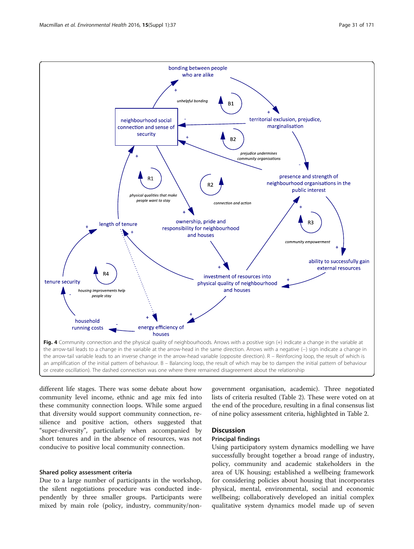<span id="page-8-0"></span>

Fig. 4 Community connection and the physical quality of neighbourhoods. Arrows with a positive sign (+) indicate a change in the variable at the arrow-tail leads to a change in the variable at the arrow-head in the same direction. Arrows with a negative (−) sign indicate a change in the arrow-tail variable leads to an inverse change in the arrow-head variable (opposite direction). R – Reinforcing loop, the result of which is an amplification of the initial pattern of behaviour. B - Balancing loop, the result of which may be to dampen the initial pattern of behaviour or create oscillation). The dashed connection was one where there remained disagreement about the relationship

houses

different life stages. There was some debate about how community level income, ethnic and age mix fed into these community connection loops. While some argued that diversity would support community connection, resilience and positive action, others suggested that "super-diversity", particularly when accompanied by short tenures and in the absence of resources, was not conducive to positive local community connection.

## Shared policy assessment criteria

Due to a large number of participants in the workshop, the silent negotiations procedure was conducted independently by three smaller groups. Participants were mixed by main role (policy, industry, community/non-

government organisation, academic). Three negotiated lists of criteria resulted (Table [2](#page-9-0)). These were voted on at the end of the procedure, resulting in a final consensus list of nine policy assessment criteria, highlighted in Table [2.](#page-9-0)

## **Discussion**

## Principal findings

Using participatory system dynamics modelling we have successfully brought together a broad range of industry, policy, community and academic stakeholders in the area of UK housing; established a wellbeing framework for considering policies about housing that incorporates physical, mental, environmental, social and economic wellbeing; collaboratively developed an initial complex qualitative system dynamics model made up of seven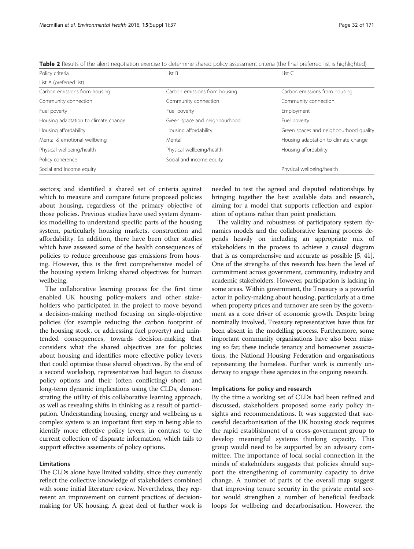| Policy criteria                      | List B                        | List C                                 |
|--------------------------------------|-------------------------------|----------------------------------------|
| List A (preferred list)              |                               |                                        |
| Carbon emissions from housing        | Carbon emissions from housing | Carbon emissions from housing          |
| Community connection                 | Community connection          | Community connection                   |
| Fuel poverty                         | Fuel poverty                  | Employment                             |
| Housing adaptation to climate change | Green space and neighbourhood | Fuel poverty                           |
| Housing affordability                | Housing affordability         | Green spaces and neighbourhood quality |
| Mental & emotional wellbeing         | Mental                        | Housing adaptation to climate change   |
| Physical wellbeing/health            | Physical wellbeing/health     | Housing affordability                  |
| Policy coherence                     | Social and income equity      |                                        |
| Social and income equity             |                               | Physical wellbeing/health              |
|                                      |                               |                                        |

<span id="page-9-0"></span>Table 2 Results of the silent negotiation exercise to determine shared policy assessment criteria (the final preferred list is highlighted)

sectors; and identified a shared set of criteria against which to measure and compare future proposed policies about housing, regardless of the primary objective of those policies. Previous studies have used system dynamics modelling to understand specific parts of the housing system, particularly housing markets, construction and affordability. In addition, there have been other studies which have assessed some of the health consequences of policies to reduce greenhouse gas emissions from housing. However, this is the first comprehensive model of the housing system linking shared objectives for human wellbeing.

The collaborative learning process for the first time enabled UK housing policy-makers and other stakeholders who participated in the project to move beyond a decision-making method focusing on single-objective policies (for example reducing the carbon footprint of the housing stock, or addressing fuel poverty) and unintended consequences, towards decision-making that considers what the shared objectives are for policies about housing and identifies more effective policy levers that could optimise those shared objectives. By the end of a second workshop, representatives had begun to discuss policy options and their (often conflicting) short- and long-term dynamic implications using the CLDs, demonstrating the utility of this collaborative learning approach, as well as revealing shifts in thinking as a result of participation. Understanding housing, energy and wellbeing as a complex system is an important first step in being able to identify more effective policy levers, in contrast to the current collection of disparate information, which fails to support effective assements of policy options.

#### Limitations

The CLDs alone have limited validity, since they currently reflect the collective knowledge of stakeholders combined with some initial literature review. Nevertheless, they represent an improvement on current practices of decisionmaking for UK housing. A great deal of further work is needed to test the agreed and disputed relationships by bringing together the best available data and research, aiming for a model that supports reflection and exploration of options rather than point prediction.

The validity and robustness of participatory system dynamics models and the collaborative learning process depends heavily on including an appropriate mix of stakeholders in the process to achieve a causal diagram that is as comprehensive and accurate as possible [\[5](#page-11-0), [41](#page-11-0)]. One of the strengths of this research has been the level of commitment across government, community, industry and academic stakeholders. However, participation is lacking in some areas. Within government, the Treasury is a powerful actor in policy-making about housing, particularly at a time when property prices and turnover are seen by the government as a core driver of economic growth. Despite being nominally involved, Treasury representatives have thus far been absent in the modelling process. Furthermore, some important community organisations have also been missing so far; these include tenancy and homeowner associations, the National Housing Federation and organisations representing the homeless. Further work is currently underway to engage these agencies in the ongoing research.

#### Implications for policy and research

By the time a working set of CLDs had been refined and discussed, stakeholders proposed some early policy insights and recommendations. It was suggested that successful decarbonisation of the UK housing stock requires the rapid establishment of a cross-government group to develop meaningful systems thinking capacity. This group would need to be supported by an advisory committee. The importance of local social connection in the minds of stakeholders suggests that policies should support the strengthening of community capacity to drive change. A number of parts of the overall map suggest that improving tenure security in the private rental sector would strengthen a number of beneficial feedback loops for wellbeing and decarbonisation. However, the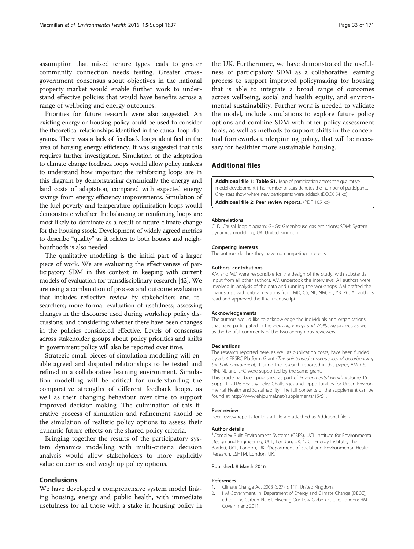<span id="page-10-0"></span>assumption that mixed tenure types leads to greater community connection needs testing. Greater crossgovernment consensus about objectives in the national property market would enable further work to understand effective policies that would have benefits across a range of wellbeing and energy outcomes.

Priorities for future research were also suggested. An existing energy or housing policy could be used to consider the theoretical relationships identified in the causal loop diagrams. There was a lack of feedback loops identified in the area of housing energy efficiency. It was suggested that this requires further investigation. Simulation of the adaptation to climate change feedback loops would allow policy makers to understand how important the reinforcing loops are in this diagram by demonstrating dynamically the energy and land costs of adaptation, compared with expected energy savings from energy efficiency improvements. Simulation of the fuel poverty and temperature optimisation loops would demonstrate whether the balancing or reinforcing loops are most likely to dominate as a result of future climate change for the housing stock. Development of widely agreed metrics to describe "quality" as it relates to both houses and neighbourhoods is also needed.

The qualitative modelling is the initial part of a larger piece of work. We are evaluating the effectiveness of participatory SDM in this context in keeping with current models of evaluation for transdisciplinary research [\[42\]](#page-11-0). We are using a combination of process and outcome evaluation that includes reflective review by stakeholders and researchers; more formal evaluation of usefulness; assessing changes in the discourse used during workshop policy discussions; and considering whether there have been changes in the policies considered effective. Levels of consensus across stakeholder groups about policy priorities and shifts in government policy will also be reported over time.

Strategic small pieces of simulation modelling will enable agreed and disputed relationships to be tested and refined in a collaborative learning environment. Simulation modelling will be critical for understanding the comparative strengths of different feedback loops, as well as their changing behaviour over time to support improved decision-making. The culmination of this iterative process of simulation and refinement should be the simulation of realistic policy options to assess their dynamic future effects on the shared policy criteria.

Bringing together the results of the participatory system dynamics modelling with multi-criteria decision analysis would allow stakeholders to more explicitly value outcomes and weigh up policy options.

## Conclusions

We have developed a comprehensive system model linking housing, energy and public health, with immediate usefulness for all those with a stake in housing policy in the UK. Furthermore, we have demonstrated the usefulness of participatory SDM as a collaborative learning process to support improved policymaking for housing that is able to integrate a broad range of outcomes across wellbeing, social and health equity, and environmental sustainability. Further work is needed to validate the model, include simulations to explore future policy options and combine SDM with other policy assessment tools, as well as methods to support shifts in the conceptual frameworks underpinning policy, that will be necessary for healthier more sustainable housing.

## Additional files

[Additional file 1: Table S1.](dx.doi.org/10.1186/s12940-016-0098-z) Map of participation across the qualitative model development (The number of stars denotes the number of participants. Grey stars show where new participants were added). (DOCX 54 kb)

[Additional file 2:](dx.doi.org/10.1186/s12940-016-0098-z) Peer review reports. (PDF 105 kb)

#### Abbreviations

CLD: Causal loop diagram; GHGs: Greenhouse gas emissions; SDM: System dynamics modelling; UK: United Kingdom.

#### Competing interests

The authors declare they have no competing interests.

#### Authors' contributions

AM and MD were responsible for the design of the study, with substantial input from all other authors. AM undertook the interviews. All authors were involved in analysis of the data and running the workshops. AM drafted the manuscript with critical revisions from MD, CS, NL, NM, ET, YB, ZC. All authors read and approved the final manuscript.

#### Acknowledgements

The authors would like to acknowledge the individuals and organisations that have participated in the Housing, Energy and Wellbeing project, as well as the helpful comments of the two anonymous reviewers.

#### Declarations

The research reported here, as well as publication costs, have been funded by a UK EPSRC Platform Grant (The unintended consequences of decarbonising the built environment). During the research reported in this paper, AM, CS, NM, NL and LFC were supported by the same grant.

This article has been published as part of Environmental Health Volume 15 Suppl 1, 2016: Healthy-Polis: Challenges and Opportunities for Urban Environmental Health and Sustainability. The full contents of the supplement can be found at<http://www.ehjournal.net/supplements/15/S1>.

#### Peer review

Peer review reports for this article are attached as Additional file 2.

#### Author details

<sup>1</sup> Complex Built Environment Systems (CBES), UCL Institute for Environmental Design and Engineering, UCL, London, UK. <sup>2</sup>UCL Energy Institute, The Bartlett, UCL, London, UK. <sup>3</sup>Department of Social and Environmental Health Research, LSHTM, London, UK.

#### Published: 8 March 2016

#### References

- 1. Climate Change Act 2008 (c.27), s 1(1). United Kingdom.
- 2. HM Government. In: Department of Energy and Climate Change (DECC), editor. The Carbon Plan: Delivering Our Low Carbon Future. London: HM Government; 2011.